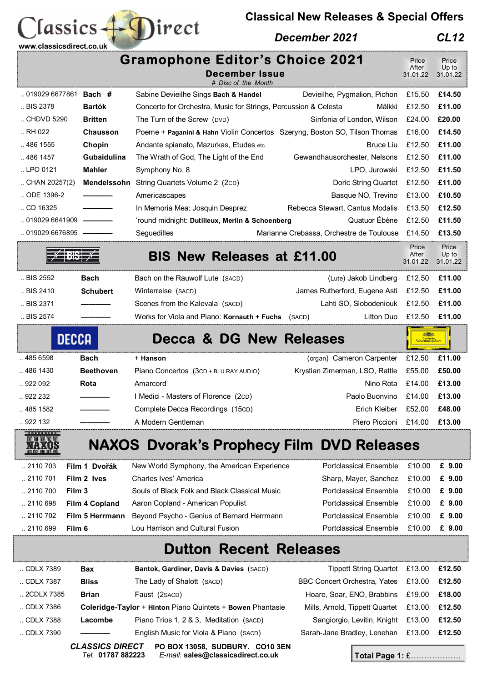

## *December 2021 CL12*

| <b>Gramophone Editor's Choice 2021</b> |                       |                                                                            |                                                 | Price             | Price             |
|----------------------------------------|-----------------------|----------------------------------------------------------------------------|-------------------------------------------------|-------------------|-------------------|
|                                        |                       | <b>December Issue</b>                                                      |                                                 | After<br>31.01.22 | Up to<br>31.01.22 |
|                                        |                       | # Disc of the Month                                                        |                                                 |                   |                   |
| 019029 6677861 Bach #                  |                       | Sabine Devieilhe Sings Bach & Handel                                       | Devieilhe, Pygmalion, Pichon                    | £15.50            | £14.50            |
| BIS 2378                               | <b>Bartók</b>         | Concerto for Orchestra, Music for Strings, Percussion & Celesta            | Mälkki                                          | £12.50            | £11.00            |
| CHDVD 5290                             | <b>Britten</b>        | The Turn of the Screw (DVD)                                                | Sinfonia of London, Wilson                      | £24.00            | £20.00            |
| RH 022                                 | <b>Chausson</b>       | Poeme + Paganini & Hahn Violin Concertos Szeryng, Boston SO, Tilson Thomas |                                                 | £16.00            | £14.50            |
| .4861555                               | Chopin                | Andante spianato, Mazurkas, Etudes etc.                                    | Bruce Liu                                       | £12.50            | £11.00            |
| 486 1457                               | Gubaidulina           | The Wrath of God, The Light of the End                                     | Gewandhausorchester, Nelsons                    | £12.50            | £11.00            |
| LPO 0121                               | <b>Mahler</b>         | Symphony No. 8                                                             | LPO, Jurowski                                   | £12.50            | £11.50            |
| $\ldots$ CHAN 20257(2)                 | Mendelssohn           | String Quartets Volume 2 (2cD)                                             | Doric String Quartet                            | £12.50            | £11.00            |
| ODE 1396-2                             |                       | Americascapes                                                              | Basque NO, Trevino                              | £13.00            | £10.50            |
| CD 16325                               |                       | In Memoria Mea: Josquin Desprez                                            | Rebecca Stewart, Cantus Modalis                 | £13.50            | £12.50            |
| 019029 6641909                         |                       | 'round midnight: Dutilleux, Merlin & Schoenberg                            | Quatuor Ébène                                   | £12.50            | £11.50            |
| 019029 6676895   •                     |                       | Seguedilles                                                                | Marianne Crebassa, Orchestre de Toulouse £14.50 |                   | £13.50            |
|                                        |                       | <b>BIS New Releases at £11.00</b>                                          |                                                 | Price<br>After    | Price<br>Up to    |
|                                        |                       |                                                                            |                                                 | 31.01.22          | 31.01.22          |
| BIS 2552                               | Bach                  | Bach on the Rauwolf Lute (SACD)                                            | (Lute) Jakob Lindberg                           | £12.50            | £11.00            |
| BIS 2410                               | <b>Schubert</b>       | Winterreise (SACD)                                                         | James Rutherford, Eugene Asti                   | £12.50            | £11.00            |
| BIS 2371                               |                       | Scenes from the Kalevala (SACD)                                            | Lahti SO, Slobodeniouk                          | £12.50            | £11.00            |
| BIS 2574                               |                       | Works for Viola and Piano: Kornauth + Fuchs (SACD)                         | Litton Duo                                      | £12.50            | £11.00            |
|                                        | DECCA                 | <b>Decca &amp; DG New Releases</b>                                         |                                                 |                   |                   |
| 485 6598                               | <b>Bach</b>           | + Hanson                                                                   | (organ) Cameron Carpenter                       | £12.50            | £11.00            |
| 486 1430                               | <b>Beethoven</b>      | Piano Concertos (3CD + BLU RAY AUDIO)                                      | Krystian Zimerman, LSO, Rattle                  | £55.00            | £50.00            |
| 922 092                                | Rota                  | Amarcord                                                                   | Nino Rota                                       | £14.00            | £13.00            |
| .922232                                |                       | I Medici - Masters of Florence (2cD)                                       | Paolo Buonvino                                  | £14.00            | £13.00            |
| 485 1582                               |                       | Complete Decca Recordings (15cD)                                           | Erich Kleiber                                   | £52.00            | £48.00            |
| 922 132                                |                       | A Modern Gentleman                                                         | Piero Piccioni                                  | £14.00            | £13.00            |
| ind ind ind ind ind                    |                       | <b>NAXOS Dvorak's Prophecy Film DVD Releases</b>                           |                                                 |                   |                   |
| 2110 703                               | Film 1 Dvořák         | New World Symphony, the American Experience                                | <b>Portclassical Ensemble</b>                   | £10.00            | £ 9.00            |
| 2110 701                               | Film 2 lves           | Charles Ives' America                                                      | Sharp, Mayer, Sanchez                           | £10.00            | £ 9.00            |
| .2110700                               | Film 3                | Souls of Black Folk and Black Classical Music                              | <b>Portclassical Ensemble</b>                   | £10.00            | £ 9.00            |
| 2110 698                               | <b>Film 4 Copland</b> | Aaron Copland - American Populist                                          | <b>Portclassical Ensemble</b>                   | £10.00            | £ 9.00            |
| 2110 702                               | Film 5 Herrmann       | Beyond Psycho - Genius of Bernard Herrmann                                 | <b>Portclassical Ensemble</b>                   | £10.00            | £ 9.00            |
| 2110 699                               | Film 6                | Lou Harrison and Cultural Fusion                                           | <b>Portclassical Ensemble</b>                   | £10.00            | £ 9.00            |
| <b>Dutton Recent Releases</b>          |                       |                                                                            |                                                 |                   |                   |
| CDLX 7389                              | <b>Bax</b>            | Bantok, Gardiner, Davis & Davies (SACD)                                    | <b>Tippett String Quartet</b>                   | £13.00            | £12.50            |
| CDLX 7387                              | <b>Bliss</b>          | The Lady of Shalott (SACD)                                                 | BBC Concert Orchestra, Yates                    | £13.00            | £12.50            |
| 2CDLX 7385                             | <b>Brian</b>          | Faust (2sACD)                                                              | Hoare, Soar, ENO, Brabbins                      | £19.00            | £18.00            |
| CDLX 7386                              |                       | Coleridge-Taylor + Hinton Piano Quintets + Bowen Phantasie                 | Mills, Arnold, Tippett Quartet                  | £13.00            | £12.50            |
| CDLX 7388                              | Lacombe               | Piano Trios 1, 2 & 3, Meditation (SACD)                                    | Sangiorgio, Levitin, Knight £13.00              |                   | £12.50            |

.. CDLX 7390 **————** English Music for Viola & Piano (SACD) Sarah-Jane Bradley, Lenehan £13.00 **£12.50** 

 **www.classicsdirect.co.uk** 

**lassics** 

Direct

*CLASSICS DIRECT* **PO BOX 13058, SUDBURY. CO10 3EN**  *Tel*: **01787 882223** *E-mail:* **sales@classicsdirect.co.uk Total Page 1:** £……………….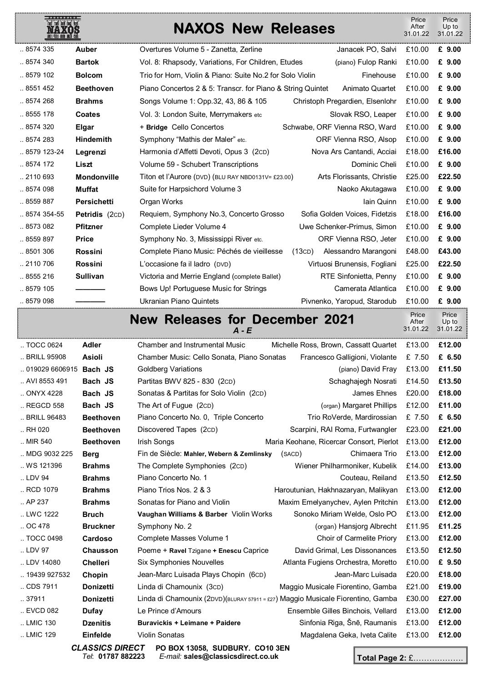| 简简简简简           |                    | <b>NAXOS New Releases</b>                                  |                                 | Price<br>After<br>31.01.22 | Price<br>Up to<br>31.01.22 |
|-----------------|--------------------|------------------------------------------------------------|---------------------------------|----------------------------|----------------------------|
| 8574 335        | <b>Auber</b>       | Overtures Volume 5 - Zanetta, Zerline                      | Janacek PO, Salvi               | £10.00                     | £ 9.00                     |
| 8574 340        | <b>Bartok</b>      | Vol. 8: Rhapsody, Variations, For Children, Etudes         | (piano) Fulop Ranki             | £10.00                     | £ 9.00                     |
| 8579 102        | <b>Bolcom</b>      | Trio for Horn, Violin & Piano: Suite No.2 for Solo Violin  | Finehouse                       | £10.00                     | £ 9.00                     |
| 8551 452        | <b>Beethoven</b>   | Piano Concertos 2 & 5: Transcr. for Piano & String Quintet | Animato Quartet                 | £10.00                     | £ 9.00                     |
| 8574 268        | <b>Brahms</b>      | Songs Volume 1: Opp.32, 43, 86 & 105                       | Christoph Pregardien, Elsenlohr | £10.00                     | £ 9.00                     |
| 8555 178        | <b>Coates</b>      | Vol. 3: London Suite, Merrymakers etc                      | Slovak RSO, Leaper              | £10.00                     | £ 9.00                     |
| 8574 320        | <b>Elgar</b>       | + Bridge Cello Concertos                                   | Schwabe, ORF Vienna RSO, Ward   | £10.00                     | £ 9.00                     |
| .8574283        | <b>Hindemith</b>   | Symphony "Mathis der Maler" etc.                           | ORF Vienna RSO, Alsop           | £10.00                     | £ 9.00                     |
| $.8579$ 123-24  | Legrenzi           | Harmonia d'Affetti Devoti, Opus 3 (2CD)                    | Nova Ars Cantandi, Acciai       | £18.00                     | £16.00                     |
| $.8574$ 172     | Liszt              | Volume 59 - Schubert Transcriptions                        | Dominic Cheli                   | £10.00                     | £ 9.00                     |
| 2110 693        | <b>Mondonville</b> | Titon et l'Aurore (DVD) (BLU RAY NBD0131V= £23.00)         | Arts Florissants, Christie      | £25.00                     | £22.50                     |
| 8574 098        | <b>Muffat</b>      | Suite for Harpsichord Volume 3                             | Naoko Akutagawa                 | £10.00                     | £ 9.00                     |
| 8559 887        | <b>Persichetti</b> | Organ Works                                                | Iain Quinn                      | £10.00                     | £ 9.00                     |
| $.8574354 - 55$ | Petridis (2CD)     | Requiem, Symphony No.3, Concerto Grosso                    | Sofia Golden Voices, Fidetzis   | £18.00                     | £16.00                     |
| 8573 082        | <b>Pfitzner</b>    | Complete Lieder Volume 4                                   | Uwe Schenker-Primus, Simon      | £10.00                     | £ 9.00                     |
| 8559 897        | <b>Price</b>       | Symphony No. 3, Mississippi River etc.                     | ORF Vienna RSO, Jeter           | £10.00                     | £ 9.00                     |
| 8501 306        | <b>Rossini</b>     | Complete Piano Music: Péchés de vieillesse                 | (13CD)<br>Alessandro Marangoni  | £48.00                     | £43.00                     |
| 2110 706        | <b>Rossini</b>     | L'occasione fa il ladro (DVD)                              | Virtuosi Brunensis, Fogliani    | £25.00                     | £22.50                     |
| 8555 216        | <b>Sullivan</b>    | Victoria and Merrie England (complete Ballet)              | <b>RTE Sinfonietta, Penny</b>   | £10.00                     | £ 9.00                     |
| 8579 105        |                    | Bows Up! Portuguese Music for Strings                      | Camerata Atlantica              | £10.00                     | £ 9.00                     |
| 8579 098        |                    | Ukranian Piano Quintets                                    | Pivnenko, Yaropud, Starodub     | £10.00                     | £ 9.00                     |

## **New Releases for December 2021**   $\overline{A}$  -  $\overline{E}$

| TOCC 0624         | <b>Adler</b>     | <b>Chamber and Instrumental Music</b>                                           | Michelle Ross, Brown, Cassatt Quartet    | £13.00 | £12.00 |
|-------------------|------------------|---------------------------------------------------------------------------------|------------------------------------------|--------|--------|
| BRILL 95908       | <b>Asioli</b>    | Chamber Music: Cello Sonata, Piano Sonatas                                      | Francesco Galligioni, Violante           | £ 7.50 | £ 6.50 |
| 019029 6606915    | Bach JS          | Goldberg Variations                                                             | (piano) David Fray                       | £13.00 | £11.50 |
| AVI 8553 491      | Bach JS          | Partitas BWV 825 - 830 (2cD)                                                    | Schaghajegh Nosrati                      | £14.50 | £13.50 |
| ONYX 4228         | Bach JS          | Sonatas & Partitas for Solo Violin (2cD)                                        | James Ehnes                              | £20.00 | £18.00 |
| REGCD 558         | Bach JS          | The Art of Fugue (2cD)                                                          | (organ) Margaret Phillips                | £12.00 | £11.00 |
| BRILL 96483       | <b>Beethoven</b> | Piano Concerto No. 0, Triple Concerto                                           | Trio RoVerde, Mardirossian               | £ 7.50 | £ 6.50 |
| $\ldots$ RH 020   | <b>Beethoven</b> | Discovered Tapes (2cD)                                                          | Scarpini, RAI Roma, Furtwangler          | £23.00 | £21.00 |
| MIR 540           | <b>Beethoven</b> | Irish Songs                                                                     | Maria Keohane, Ricercar Consort, Pierlot | £13.00 | £12.00 |
| MDG 9032 225      | <b>Berg</b>      | Fin de Siècle: Mahler, Webern & Zemlinsky                                       | Chimaera Trio<br>(SACD)                  | £13.00 | £12.00 |
| WS 121396         | <b>Brahms</b>    | The Complete Symphonies (2cD)                                                   | Wiener Philharmoniker, Kubelik           | £14.00 | £13.00 |
| LDV 94            | <b>Brahms</b>    | Piano Concerto No. 1                                                            | Couteau, Reiland                         | £13.50 | £12.50 |
| RCD 1079          | <b>Brahms</b>    | Piano Trios Nos. 2 & 3                                                          | Haroutunian, Hakhnazaryan, Malikyan      | £13.00 | £12.00 |
| . AP 237          | <b>Brahms</b>    | Sonatas for Piano and Violin                                                    | Maxim Emelyanychev, Aylen Pritchin       | £13.00 | £12.00 |
| LWC 1222          | <b>Bruch</b>     | Vaughan Williams & Barber Violin Works                                          | Sonoko Miriam Welde, Oslo PO             | £13.00 | £12.00 |
| $.0C$ 478         | <b>Bruckner</b>  | Symphony No. 2                                                                  | (organ) Hansjorg Albrecht                | £11.95 | £11.25 |
| TOCC 0498         | Cardoso          | Complete Masses Volume 1                                                        | Choir of Carmelite Priory                | £13.00 | £12.00 |
| LDV 97            | <b>Chausson</b>  | Poeme + Ravel Tzigane + Enescu Caprice                                          | David Grimal, Les Dissonances            | £13.50 | £12.50 |
| LDV 14080         | <b>Chelleri</b>  | <b>Six Symphonies Nouvelles</b>                                                 | Atlanta Fugiens Orchestra, Moretto       | £10.00 | £ 9.50 |
| 19439 927532      | Chopin           | Jean-Marc Luisada Plays Chopin (6cD)                                            | Jean-Marc Luisada                        | £20.00 | £18.00 |
| CDS 7911          | <b>Donizetti</b> | Linda di Chamounix (3cD)                                                        | Maggio Musicale Fiorentino, Gamba        | £21.00 | £19.00 |
| 37911             | <b>Donizetti</b> | Linda di Chamounix (2DVD)(BLURAY 57911 = £27) Maggio Musicale Fiorentino, Gamba |                                          | £30.00 | £27.00 |
| $\ldots$ EVCD 082 | <b>Dufay</b>     | Le Prince d'Amours                                                              | Ensemble Gilles Binchois, Vellard        | £13.00 | £12.00 |
| LMIC 130          | <b>Dzenitis</b>  | <b>Buravickis + Leimane + Paidere</b>                                           | Sinfonia Riga, Šnē, Raumanis             | £13.00 | £12.00 |
| LMIC 129          | Einfelde         | Violin Sonatas                                                                  | Magdalena Geka, Iveta Calite             | £13.00 | £12.00 |
|                   |                  |                                                                                 |                                          |        |        |

*CLASSICS DIRECT* **PO BOX 13058, SUDBURY. CO10 3EN**  *Tel*: **01787 882223** *E-mail:* **sales@classicsdirect.co.uk**

**Total Page 2:** £……………….

 Price After 31.01.22

Price Up to 31.01.22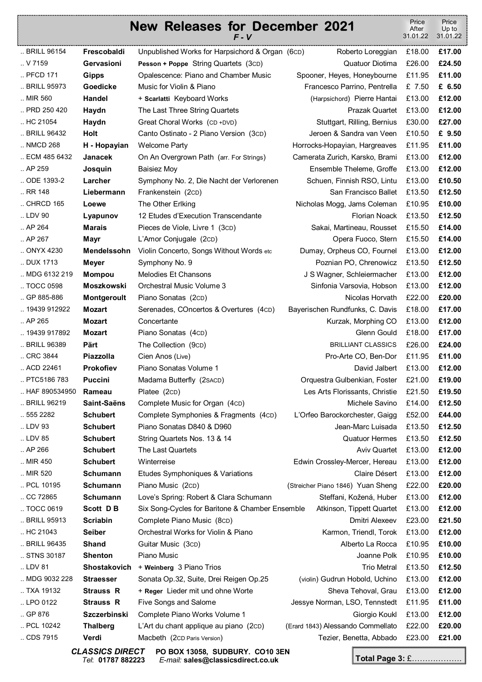## **New Releases for December 2021**  *F - V* Price After 31.01.22 Price Up to 31.01.22 .. BRILL 96154 **Frescobaldi** Unpublished Works for Harpsichord & Organ (6CD) Roberto Loreggian £18.00 **£17.00**  .. V 7159 **Gervasioni Pesson + Poppe** String Quartets (3CD) Quatuor Diotima £26.00 **£24.50**  .. PFCD 171 **Gipps** Opalescence: Piano and Chamber Music Spooner, Heyes, Honeybourne £11.95 **£11.00**  .. BRILL 95973 **Goedicke** Music for Violin & Piano Francesco Parrino, Pentrella £ 7.50 **£ 6.50**  .. MIR 560 **Handel** + **Scarlatti** Keyboard Works (Harpsichord) Pierre Hantai £13.00 **£12.00**  .. PRD 250 420 **Haydn** The Last Three String Quartets **Fig. 12.00 Prazak Quartet £13.00 £12.00** .. HC 21054 **Haydn** Great Choral Works (CD +DVD) Stuttgart, Rilling, Bernius £30.00 **£27.00**  .. BRILL 96432 **Holt** Canto Ostinato - 2 Piano Version (3CD) Jeroen & Sandra van Veen £10.50 **£ 9.50**  .. NMCD 268 **H - Hopayian** Welcome Party **Hortocks-Hopayian, Hargreaves £11.95 £11.00** .. ECM 485 6432 **Janacek** On An Overgrown Path (arr. For Strings) Camerata Zurich, Karsko, Brami £13.00 **£12.00**  .. AP 259 **Josquin** Baisiez Moy Ensemble Theleme, Groffe £13.00 **£12.00**  .. ODE 1393-2 **Larcher** Symphony No. 2, Die Nacht der Verlorenen Schuen, Finnish RSO, Lintu £13.00 **£10.50**  .. RR 148 **Liebermann** Frankenstein (2CD) San Francisco Ballet £13.50 **£12.50**  .. CHRCD 165 **Loewe** The Other Erlking Nicholas Mogg, Jams Coleman £10.95 **£10.00 Example 10.00** .. LDV 90 **Lyapunov** 12 Etudes d'Execution Transcendante Florian Noack £13.50 **£12.50**  .. AP 264 **Marais** Pieces de Viole, Livre 1 (3CD) Sakai, Martineau, Rousset £15.50 **£14.00**  .. AP 267 **Mayr Mayr** L'Amor Conjugale (2cD) **Conserver Containers Conserver Conserver Conserver Conserver Conserver Conserver Conserver Conserver Conserver Conserver Conserver Conserver Conserver Conserver Conserver Con** .. ONYX 4230 **Mendelssohn** Violin Concerto, Songs Without Words etc Dumay, Orpheus CO, Fournel £13.00 **£12.00**  .. DUX 1713 **Meyer** Symphony No. 9 Poznian PO, Chrenowicz £13.50 **£12.50**  .. MDG 6132 219 **Mompou** Melodies Et Chansons J S Wagner, Schleiermacher £13.00 **£12.00**  .. TOCC 0598 **Moszkowski** Orchestral Music Volume 3 Sinfonia Varsovia, Hobson £13.00 **£12.00**  .. GP 885-886 **Montgeroult** Piano Sonatas (2cp) Nicolas Horvath £22.00 **£20.00** .. 19439 912922 **Mozart** Serenades, COncertos & Overtures (4CD) Bayerischen Rundfunks, C. Davis £18.00 **£17.00**  .. AP 265 **Mozart** Concertante **Concertante Concertante** Kurzak, Morphing CO £13.00 **£12.00** .. 19439 917892 **Mozart** Piano Sonatas (4CD) Glenn Gould £18.00 **£17.00**  .. CRC 3844 **Piazzolla** Cien Anos (Live) Pro-Arte CO, Ben-Dor £11.95 **£11.00**  .. ACD 22461 **Prokofiev** Piano Sonatas Volume 1 David Jalbert £13.00 **£12.00**  .. PTC5186 783 **Puccini** Madama Butterfly (2SACD) Orquestra Gulbenkian, Foster £21.00 **£19.00**  .. HAF 890534950 **Rameau** Platee (2CD) Les Arts Florissants, Christie £21.50 **£19.50**  .. BRILL 96219 **Saint-Saëns** Complete Music for Organ (4cD) Michele Savino £14.00 **£12.50** .. 555 2282 **Schubert** Complete Symphonies & Fragments (4CD) L'Orfeo Barockorchester, Gaigg £52.00 **£44.00**  .. LDV 93 **Schubert** Piano Sonatas D840 & D960 Jean-Marc Luisada £13.50 **£12.50**  .. LDV 85 **Schubert** String Quartets Nos. 13 & 14 Quatuor Hermes £13.50 **£12.50**  .. AP 266 **Schubert** The Last Quartets **Aviv Quartet E13.00 <b>£12.00 £12.00** .. MIR 450 **Schubert** Winterreise Edwin Crossley-Mercer, Hereau £13.00 **£12.00**  .. MIR 520 **Schumann** Etudes Symphoniques & Variations Claire Désert £13.00 **£12.00**  .. PCL 10195 **Schumann** Piano Music (2CD) (Streicher Piano 1846) Yuan Sheng £22.00 **£20.00**  .. CC 72865 **Schumann** Love's Spring: Robert & Clara Schumann Steffani, Kožená, Huber £13.00 **£12.00**  .. TOCC 0619 **Scott D B** Six Song-Cycles for Baritone & Chamber Ensemble Atkinson, Tippett Quartet £13.00 **£12.00**  .. BRILL 95913 **Scriabin** Complete Piano Music (8CD) Dmitri Alexeev £23.00 **£21.50**  .. HC 21043 **Seiber** Orchestral Works for Violin & Piano Karmon, Triendl, Torok £13.00 **£12.00**  .. BRILL 96435 **Shand** Guitar Music (3CD) Alberto La Rocca £10.95 **£10.00**  .. STNS 30187 **Shenton** Piano Music Joanne Polk £10.95 **£10.00**  .. LDV 81 **Shostakovich** + **Weinberg** 3 Piano Trios Trio Metral £13.50 **£12.50**  .. MDG 9032 228 **Straesser** Sonata Op.32, Suite, Drei Reigen Op.25 (violin) Gudrun Hobold, Uchino £13.00 **£12.00**  .. TXA 19132 **Strauss R** + **Reger** Lieder mit und ohne Worte Sheva Tehoval, Grau £13.00 **£12.00**  .. LPO 0122 **Strauss R** Five Songs and Salome Jessye Norman, LSO, Tennstedt £11.95 **£11.00**  .. GP 876 **Szczerbinski** Complete Piano Works Volume 1 Giorgio Koukl £13.00 **£12.00**  .. PCL 10242 **Thalberg** L'Art du chant applique au piano (2CD) (Erard 1843) Alessando Commellato £22.00 **£20.00**  .. CDS 7915 **Verdi** Macbeth (2CD Paris Version) Tezier, Benetta, Abbado £23.00 **£21.00**  .. BRILL 96389 **Pärt** The Collection (9CD) BRILLIANT CLASSICS £26.00 **£24.00**

*Tel*: **01787 882223** *E-mail:* **sales@classicsdirect.co.uk**

*CLASSICS DIRECT* **PO BOX 13058, SUDBURY. CO10 3EN** 

**Total Page 3:** £……………….